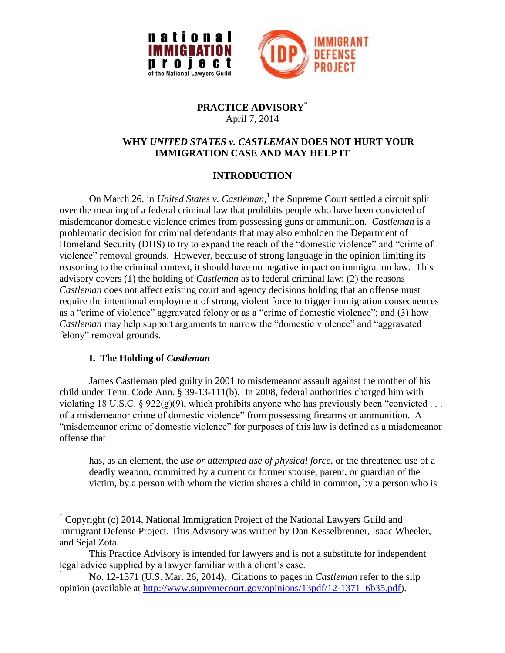



#### **PRACTICE ADVISORY**\* April 7, 2014

## **WHY** *UNITED STATES v. CASTLEMAN* **DOES NOT HURT YOUR IMMIGRATION CASE AND MAY HELP IT**

# **INTRODUCTION**

On March 26, in *United States v. Castleman*, 1 the Supreme Court settled a circuit split over the meaning of a federal criminal law that prohibits people who have been convicted of misdemeanor domestic violence crimes from possessing guns or ammunition. *Castleman* is a problematic decision for criminal defendants that may also embolden the Department of Homeland Security (DHS) to try to expand the reach of the "domestic violence" and "crime of violence" removal grounds. However, because of strong language in the opinion limiting its reasoning to the criminal context, it should have no negative impact on immigration law. This advisory covers (1) the holding of *Castleman* as to federal criminal law; (2) the reasons *Castleman* does not affect existing court and agency decisions holding that an offense must require the intentional employment of strong, violent force to trigger immigration consequences as a "crime of violence" aggravated felony or as a "crime of domestic violence"; and (3) how *Castleman* may help support arguments to narrow the "domestic violence" and "aggravated felony" removal grounds.

## **I. The Holding of** *Castleman*

 $\overline{a}$ 

James Castleman pled guilty in 2001 to misdemeanor assault against the mother of his child under Tenn. Code Ann. § 39-13-111(b). In 2008, federal authorities charged him with violating 18 U.S.C. § 922(g)(9), which prohibits anyone who has previously been "convicted . . . of a misdemeanor crime of domestic violence" from possessing firearms or ammunition. A "misdemeanor crime of domestic violence" for purposes of this law is defined as a misdemeanor offense that

has, as an element, the *use or attempted use of physical force*, or the threatened use of a deadly weapon, committed by a current or former spouse, parent, or guardian of the victim, by a person with whom the victim shares a child in common, by a person who is

<sup>\*</sup> Copyright (c) 2014, National Immigration Project of the National Lawyers Guild and Immigrant Defense Project. This Advisory was written by Dan Kesselbrenner, Isaac Wheeler, and Sejal Zota.

This Practice Advisory is intended for lawyers and is not a substitute for independent legal advice supplied by a lawyer familiar with a client's case.

<sup>1</sup> No. 12-1371 (U.S. Mar. 26, 2014). Citations to pages in *Castleman* refer to the slip opinion (available at [http://www.supremecourt.gov/opinions/13pdf/12-1371\\_6b35.pdf\)](http://www.supremecourt.gov/opinions/13pdf/12-1371_6b35.pdf).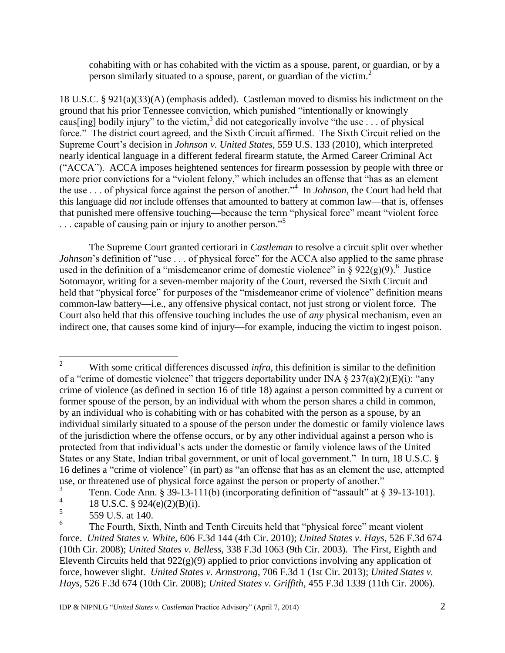cohabiting with or has cohabited with the victim as a spouse, parent, or guardian, or by a person similarly situated to a spouse, parent, or guardian of the victim.<sup>2</sup>

18 U.S.C. § 921(a)(33)(A) (emphasis added). Castleman moved to dismiss his indictment on the ground that his prior Tennessee conviction, which punished "intentionally or knowingly caus[ing] bodily injury" to the victim,<sup>3</sup> did not categorically involve "the use . . . of physical force." The district court agreed, and the Sixth Circuit affirmed. The Sixth Circuit relied on the Supreme Court's decision in *Johnson v. United States*, 559 U.S. 133 (2010), which interpreted nearly identical language in a different federal firearm statute, the Armed Career Criminal Act ("ACCA"). ACCA imposes heightened sentences for firearm possession by people with three or more prior convictions for a "violent felony," which includes an offense that "has as an element the use . . . of physical force against the person of another."<sup>4</sup> In *Johnson*, the Court had held that this language did *not* include offenses that amounted to battery at common law—that is, offenses that punished mere offensive touching—because the term "physical force" meant "violent force ... capable of causing pain or injury to another person."<sup>5</sup>

The Supreme Court granted certiorari in *Castleman* to resolve a circuit split over whether *Johnson*'s definition of "use . . . of physical force" for the ACCA also applied to the same phrase used in the definition of a "misdemeanor crime of domestic violence" in § 922(g)(9).<sup>6</sup> Justice Sotomayor, writing for a seven-member majority of the Court, reversed the Sixth Circuit and held that "physical force" for purposes of the "misdemeanor crime of violence" definition means common-law battery—i.e., any offensive physical contact, not just strong or violent force. The Court also held that this offensive touching includes the use of *any* physical mechanism, even an indirect one, that causes some kind of injury—for example, inducing the victim to ingest poison.

 $\overline{2}$ <sup>2</sup> With some critical differences discussed *infra*, this definition is similar to the definition of a "crime of domestic violence" that triggers deportability under INA  $\S 237(a)(2)(E)(i)$ : "any crime of violence (as defined in section 16 of title 18) against a person committed by a current or former spouse of the person, by an individual with whom the person shares a child in common, by an individual who is cohabiting with or has cohabited with the person as a spouse, by an individual similarly situated to a spouse of the person under the domestic or family violence laws of the jurisdiction where the offense occurs, or by any other individual against a person who is protected from that individual's acts under the domestic or family violence laws of the United States or any State, Indian tribal government, or unit of local government." In turn, 18 U.S.C. § 16 defines a "crime of violence" (in part) as "an offense that has as an element the use, attempted use, or threatened use of physical force against the person or property of another."

<sup>3</sup> Tenn. Code Ann. § 39-13-111(b) (incorporating definition of "assault" at  $\S$  39-13-101).

<sup>4</sup> 18 U.S.C. § 924(e)(2)(B)(i).

<sup>5</sup> 559 U.S. at 140.

<sup>6</sup> The Fourth, Sixth, Ninth and Tenth Circuits held that "physical force" meant violent force. *United States v. White,* 606 F.3d 144 (4th Cir. 2010); *United States v. Hays*, 526 F.3d 674 (10th Cir. 2008); *United States v. Belless*, 338 F.3d 1063 (9th Cir. 2003). The First, Eighth and Eleventh Circuits held that  $922(g)(9)$  applied to prior convictions involving any application of force, however slight. *United States v. Armstrong*, 706 F.3d 1 (1st Cir. 2013); *United States v. Hays*, 526 F.3d 674 (10th Cir. 2008); *United States v. Griffith*, 455 F.3d 1339 (11th Cir. 2006).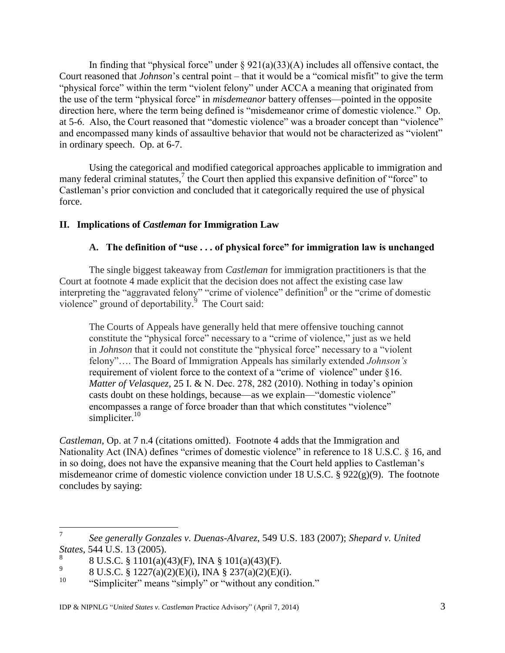In finding that "physical force" under  $\S 921(a)(33)(A)$  includes all offensive contact, the Court reasoned that *Johnson*'s central point – that it would be a "comical misfit" to give the term "physical force" within the term "violent felony" under ACCA a meaning that originated from the use of the term "physical force" in *misdemeanor* battery offenses—pointed in the opposite direction here, where the term being defined is "misdemeanor crime of domestic violence." Op. at 5-6. Also, the Court reasoned that "domestic violence" was a broader concept than "violence" and encompassed many kinds of assaultive behavior that would not be characterized as "violent" in ordinary speech. Op. at 6-7.

Using the categorical and modified categorical approaches applicable to immigration and many federal criminal statutes,<sup>7</sup> the Court then applied this expansive definition of "force" to Castleman's prior conviction and concluded that it categorically required the use of physical force.

## **II. Implications of** *Castleman* **for Immigration Law**

#### **A. The definition of "use . . . of physical force" for immigration law is unchanged**

The single biggest takeaway from *Castleman* for immigration practitioners is that the Court at footnote 4 made explicit that the decision does not affect the existing case law interpreting the "aggravated felony" "crime of violence" definition<sup>8</sup> or the "crime of domestic violence" ground of deportability. $\frac{5}{9}$  The Court said:

The Courts of Appeals have generally held that mere offensive touching cannot constitute the "physical force" necessary to a "crime of violence," just as we held in *Johnson* that it could not constitute the "physical force" necessary to a "violent felony"…. The Board of Immigration Appeals has similarly extended *Johnson's* requirement of violent force to the context of a "crime of violence" under §16. *Matter of Velasquez*, 25 I. & N. Dec. 278, 282 (2010). Nothing in today's opinion casts doubt on these holdings, because—as we explain—"domestic violence" encompasses a range of force broader than that which constitutes "violence" simpliciter. $10$ 

*Castleman*, Op. at 7 n.4 (citations omitted). Footnote 4 adds that the Immigration and Nationality Act (INA) defines "crimes of domestic violence" in reference to 18 U.S.C. § 16, and in so doing, does not have the expansive meaning that the Court held applies to Castleman's misdemeanor crime of domestic violence conviction under 18 U.S.C. § 922(g)(9). The footnote concludes by saying:

 7 *See generally Gonzales v. Duenas-Alvarez*, 549 U.S. 183 (2007); *Shepard v. United States*, 544 U.S. 13 (2005).

<sup>8</sup> 8 U.S.C. § 1101(a)(43)(F), INA § 101(a)(43)(F).

<sup>9</sup> 8 U.S.C. § 1227(a)(2)(E)(i), INA § 237(a)(2)(E)(i).

<sup>10</sup> "Simpliciter" means "simply" or "without any condition."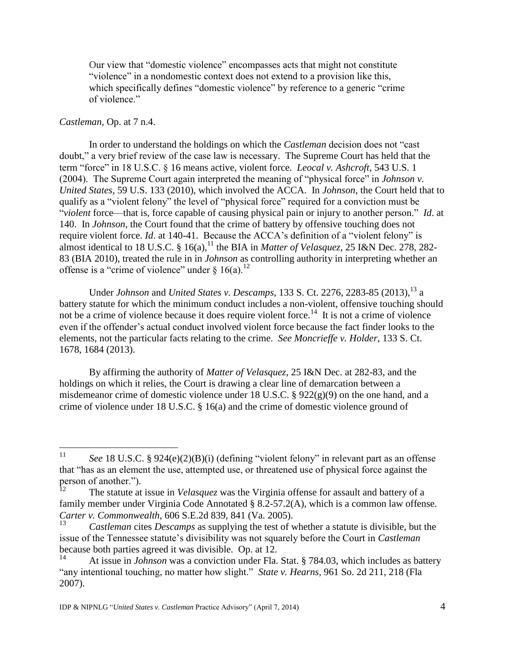Our view that "domestic violence" encompasses acts that might not constitute "violence" in a nondomestic context does not extend to a provision like this, which specifically defines "domestic violence" by reference to a generic "crime" of violence."

#### *Castleman*, Op. at 7 n.4.

In order to understand the holdings on which the *Castleman* decision does not "cast doubt," a very brief review of the case law is necessary. The Supreme Court has held that the term "force" in 18 U.S.C. § 16 means active, violent force. *Leocal v. Ashcroft*, 543 U.S. 1 (2004). The Supreme Court again interpreted the meaning of "physical force" in *Johnson v. United States,* 59 U.S. 133 (2010), which involved the ACCA. In *Johnson*, the Court held that to qualify as a "violent felony" the level of "physical force" required for a conviction must be "*violent* force—that is, force capable of causing physical pain or injury to another person." *Id*. at 140. In *Johnson*, the Court found that the crime of battery by offensive touching does not require violent force. *Id*. at 140-41. Because the ACCA's definition of a "violent felony" is almost identical to 18 U.S.C. § 16(a),<sup>11</sup> the BIA in *Matter of Velasquez*, 25 I&N Dec. 278, 282-83 (BIA 2010), treated the rule in in *Johnson* as controlling authority in interpreting whether an offense is a "crime of violence" under  $\S 16(a)$ .<sup>12</sup>

Under *Johnson* and *United States v. Descamps*, 133 S. Ct. 2276, 2283-85 (2013),<sup>13</sup> a battery statute for which the minimum conduct includes a non-violent, offensive touching should not be a crime of violence because it does require violent force.<sup>14</sup> It is not a crime of violence even if the offender's actual conduct involved violent force because the fact finder looks to the elements, not the particular facts relating to the crime. *See Moncrieffe v. Holder*, 133 S. Ct. 1678, 1684 (2013).

By affirming the authority of *Matter of Velasquez*, 25 I&N Dec. at 282-83, and the holdings on which it relies, the Court is drawing a clear line of demarcation between a misdemeanor crime of domestic violence under 18 U.S.C. § 922(g)(9) on the one hand, and a crime of violence under 18 U.S.C. § 16(a) and the crime of domestic violence ground of

 $11$ <sup>11</sup> *See* 18 U.S.C. § 924(e)(2)(B)(i) (defining "violent felony" in relevant part as an offense that "has as an element the use, attempted use, or threatened use of physical force against the person of another.").

The statute at issue in *Velasquez* was the Virginia offense for assault and battery of a family member under Virginia Code Annotated § 8.2-57.2(A), which is a common law offense. *Carter v. Commonwealth*, 606 S.E.2d 839, 841 (Va. 2005).

<sup>13</sup> *Castleman* cites *Descamps* as supplying the test of whether a statute is divisible, but the issue of the Tennessee statute's divisibility was not squarely before the Court in *Castleman*  because both parties agreed it was divisible. Op. at 12.

At issue in *Johnson* was a conviction under Fla. Stat. § 784.03, which includes as battery "any intentional touching, no matter how slight." *State v. Hearns*, 961 So. 2d 211, 218 (Fla 2007).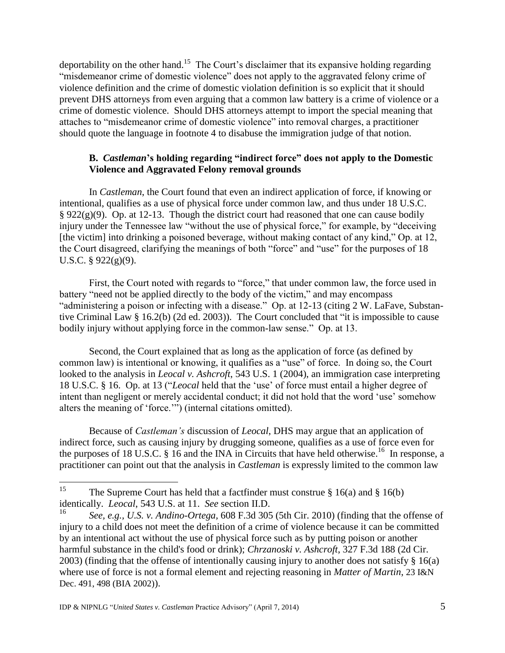deportability on the other hand.<sup>15</sup> The Court's disclaimer that its expansive holding regarding "misdemeanor crime of domestic violence" does not apply to the aggravated felony crime of violence definition and the crime of domestic violation definition is so explicit that it should prevent DHS attorneys from even arguing that a common law battery is a crime of violence or a crime of domestic violence. Should DHS attorneys attempt to import the special meaning that attaches to "misdemeanor crime of domestic violence" into removal charges, a practitioner should quote the language in footnote 4 to disabuse the immigration judge of that notion.

### **B.** *Castleman***'s holding regarding "indirect force" does not apply to the Domestic Violence and Aggravated Felony removal grounds**

In *Castleman*, the Court found that even an indirect application of force, if knowing or intentional, qualifies as a use of physical force under common law, and thus under 18 U.S.C.  $\S 922(g)(9)$ . Op. at 12-13. Though the district court had reasoned that one can cause bodily injury under the Tennessee law "without the use of physical force," for example, by "deceiving [the victim] into drinking a poisoned beverage, without making contact of any kind," Op. at 12, the Court disagreed, clarifying the meanings of both "force" and "use" for the purposes of 18 U.S.C. § 922(g)(9).

First, the Court noted with regards to "force," that under common law, the force used in battery "need not be applied directly to the body of the victim," and may encompass "administering a poison or infecting with a disease." Op. at 12-13 (citing 2 W. LaFave, Substantive Criminal Law § 16.2(b) (2d ed. 2003)). The Court concluded that "it is impossible to cause bodily injury without applying force in the common-law sense." Op. at 13.

Second, the Court explained that as long as the application of force (as defined by common law) is intentional or knowing, it qualifies as a "use" of force. In doing so, the Court looked to the analysis in *Leocal v. Ashcroft*, 543 U.S. 1 (2004), an immigration case interpreting 18 U.S.C. § 16. Op. at 13 ("*Leocal* held that the 'use' of force must entail a higher degree of intent than negligent or merely accidental conduct; it did not hold that the word 'use' somehow alters the meaning of 'force.'") (internal citations omitted).

Because of *Castleman's* discussion of *Leocal*, DHS may argue that an application of indirect force, such as causing injury by drugging someone, qualifies as a use of force even for the purposes of 18 U.S.C.  $\S$  16 and the INA in Circuits that have held otherwise.<sup>16</sup> In response, a practitioner can point out that the analysis in *Castleman* is expressly limited to the common law

<sup>15</sup> The Supreme Court has held that a factfinder must construe  $\S 16(a)$  and  $\S 16(b)$ identically. *Leocal*, 543 U.S. at 11. *See* section II.D.

<sup>16</sup> *See, e.g., U.S. v. Andino-Ortega,* 608 F.3d 305 (5th Cir. 2010) (finding that the offense of injury to a child does not meet the definition of a crime of violence because it can be committed by an intentional act without the use of physical force such as by putting poison or another harmful substance in the child's food or drink); *Chrzanoski v. Ashcroft*, 327 F.3d 188 (2d Cir. 2003) (finding that the offense of intentionally causing injury to another does not satisfy  $\S 16(a)$ where use of force is not a formal element and rejecting reasoning in *Matter of Martin*, 23 I&N Dec. 491, 498 (BIA 2002)).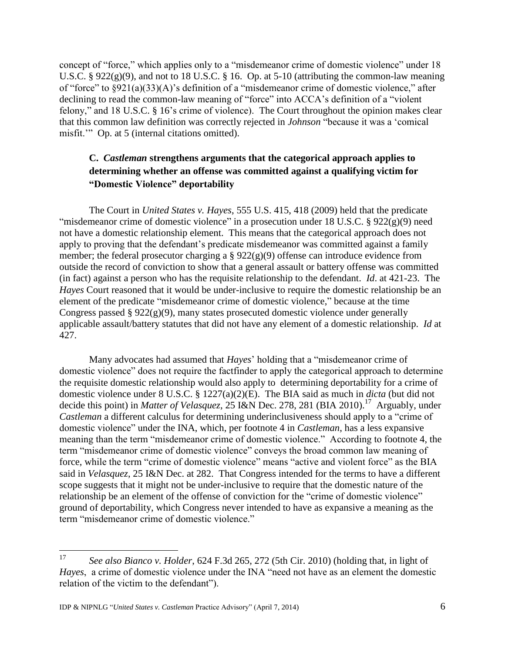concept of "force," which applies only to a "misdemeanor crime of domestic violence" under 18 U.S.C. §  $922(g)(9)$ , and not to 18 U.S.C. § 16. Op. at 5-10 (attributing the common-law meaning of "force" to §921(a)(33)(A)'s definition of a "misdemeanor crime of domestic violence," after declining to read the common-law meaning of "force" into ACCA's definition of a "violent felony," and 18 U.S.C. § 16's crime of violence). The Court throughout the opinion makes clear that this common law definition was correctly rejected in *Johnson* "because it was a 'comical misfit." Op. at 5 (internal citations omitted).

# **C.** *Castleman* **strengthens arguments that the categorical approach applies to determining whether an offense was committed against a qualifying victim for "Domestic Violence" deportability**

The Court in *United States v. Hayes*, 555 U.S. 415, 418 (2009) held that the predicate "misdemeanor crime of domestic violence" in a prosecution under 18 U.S.C.  $\S 922(g)(9)$  need not have a domestic relationship element. This means that the categorical approach does not apply to proving that the defendant's predicate misdemeanor was committed against a family member; the federal prosecutor charging a  $\S 922(g)(9)$  offense can introduce evidence from outside the record of conviction to show that a general assault or battery offense was committed (in fact) against a person who has the requisite relationship to the defendant. *Id*. at 421-23. The *Hayes* Court reasoned that it would be under-inclusive to require the domestic relationship be an element of the predicate "misdemeanor crime of domestic violence," because at the time Congress passed §  $922(g)(9)$ , many states prosecuted domestic violence under generally applicable assault/battery statutes that did not have any element of a domestic relationship. *Id* at 427.

Many advocates had assumed that *Hayes*' holding that a "misdemeanor crime of domestic violence" does not require the factfinder to apply the categorical approach to determine the requisite domestic relationship would also apply to determining deportability for a crime of domestic violence under 8 U.S.C. § 1227(a)(2)(E). The BIA said as much in *dicta* (but did not decide this point) in *Matter of Velasquez*, 25 I&N Dec. 278, 281 (BIA 2010).<sup>17</sup> Arguably, under *Castleman* a different calculus for determining underinclusiveness should apply to a "crime of domestic violence" under the INA, which, per footnote 4 in *Castleman*, has a less expansive meaning than the term "misdemeanor crime of domestic violence." According to footnote 4, the term "misdemeanor crime of domestic violence" conveys the broad common law meaning of force, while the term "crime of domestic violence" means "active and violent force" as the BIA said in *Velasquez*, 25 I&N Dec. at 282. That Congress intended for the terms to have a different scope suggests that it might not be under-inclusive to require that the domestic nature of the relationship be an element of the offense of conviction for the "crime of domestic violence" ground of deportability, which Congress never intended to have as expansive a meaning as the term "misdemeanor crime of domestic violence."

<sup>17</sup> <sup>17</sup> *See also Bianco v. Holder*, 624 F.3d 265, 272 (5th Cir. 2010) (holding that, in light of *Hayes*, a crime of domestic violence under the INA "need not have as an element the domestic relation of the victim to the defendant").